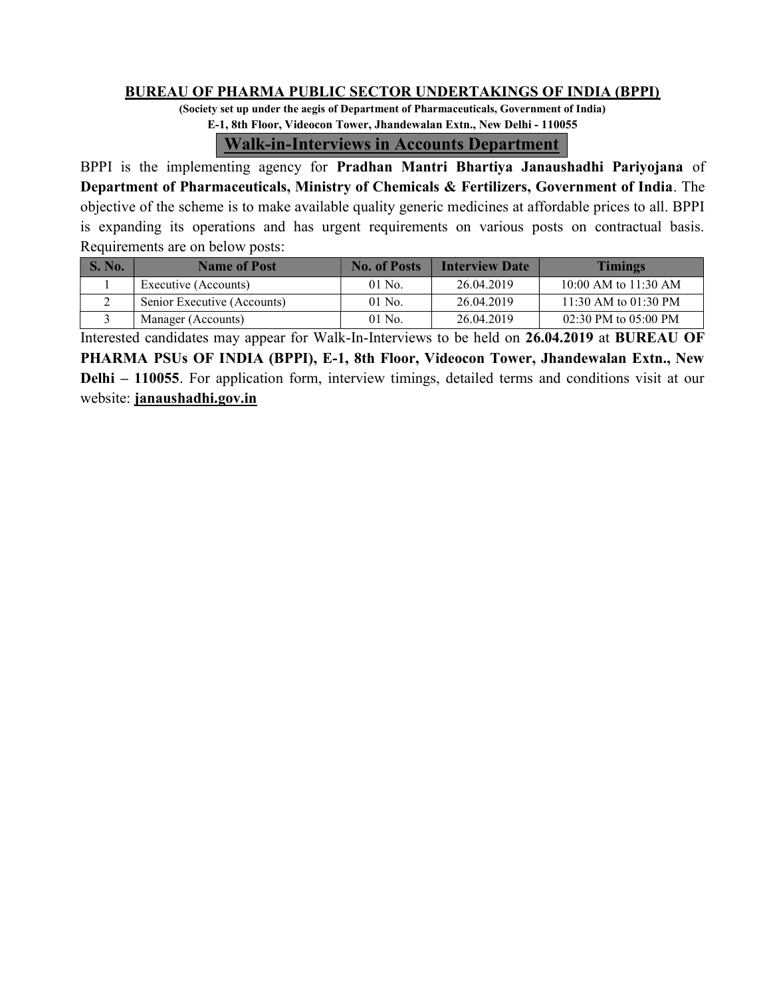### BUREAU OF PHARMA PUBLIC SECTOR UNDERTAKINGS OF INDIA (BPPI)

(Society set up under the aegis of Department of Pharmaceuticals, Government of India) E-1, 8th Floor, Videocon Tower, Jhandewalan Extn., New Delhi - 110055

### Walk-in-Interviews in Accounts Department

BPPI is the implementing agency for Pradhan Mantri Bhartiya Janaushadhi Pariyojana of Department of Pharmaceuticals, Ministry of Chemicals & Fertilizers, Government of India. The objective of the scheme is to make available quality generic medicines at affordable prices to all. BPPI is expanding its operations and has urgent requirements on various posts on contractual basis. Requirements are on below posts:

| S. No. | <b>Name of Post</b>         | <b>No. of Posts</b> | <b>Interview Date</b> | <b>Timings</b>           |
|--------|-----------------------------|---------------------|-----------------------|--------------------------|
|        | Executive (Accounts)        | $01$ No.            | 26.04.2019            | 10:00 AM to $11:30$ AM   |
|        | Senior Executive (Accounts) | $01$ No.            | 26.04.2019            | 11:30 AM to 01:30 PM     |
|        | Manager (Accounts)          | $01$ No.            | 26.04.2019            | $02:30$ PM to $05:00$ PM |

Interested candidates may appear for Walk-In-Interviews to be held on 26.04.2019 at BUREAU OF PHARMA PSUs OF INDIA (BPPI), E-1, 8th Floor, Videocon Tower, Jhandewalan Extn., New Delhi – 110055. For application form, interview timings, detailed terms and conditions visit at our website: janaushadhi.gov.in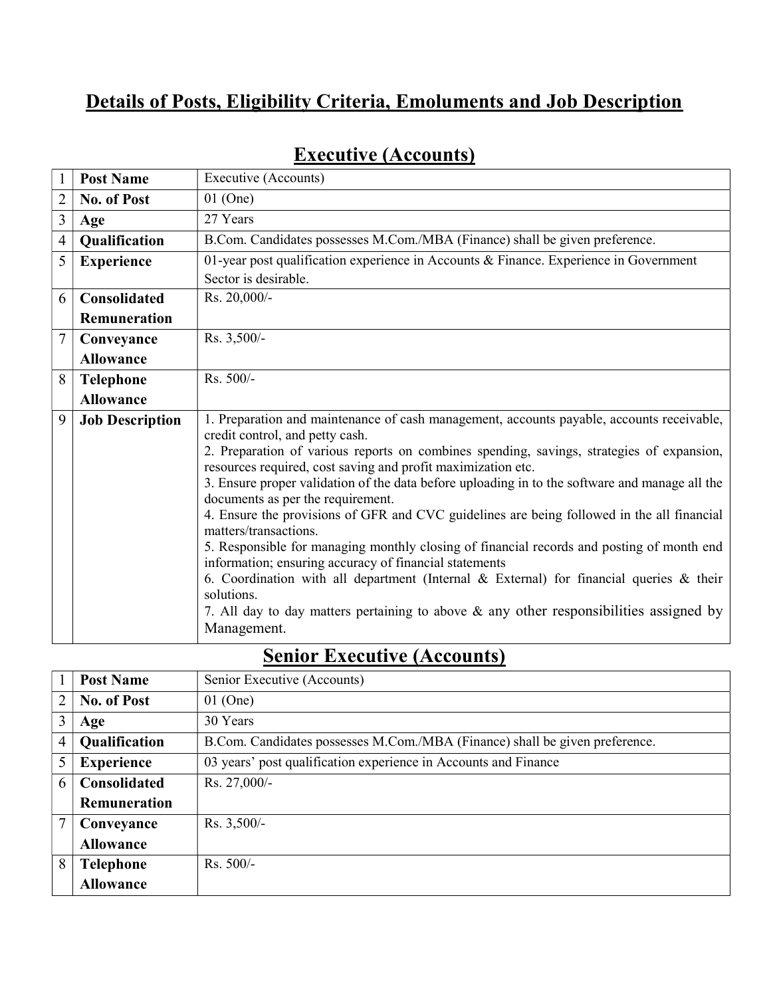## Details of Posts, Eligibility Criteria, Emoluments and Job Description

|                | <b>Post Name</b>       | Executive (Accounts)                                                                                                                                      |
|----------------|------------------------|-----------------------------------------------------------------------------------------------------------------------------------------------------------|
| $\overline{2}$ | <b>No. of Post</b>     | $01$ (One)                                                                                                                                                |
| 3              | Age                    | 27 Years                                                                                                                                                  |
| $\overline{4}$ | Qualification          | B.Com. Candidates possesses M.Com./MBA (Finance) shall be given preference.                                                                               |
| 5              | <b>Experience</b>      | 01-year post qualification experience in Accounts & Finance. Experience in Government                                                                     |
|                |                        | Sector is desirable.                                                                                                                                      |
| 6              | <b>Consolidated</b>    | Rs. 20,000/-                                                                                                                                              |
|                | <b>Remuneration</b>    |                                                                                                                                                           |
| 7              | Conveyance             | $Rs. 3,500/-$                                                                                                                                             |
|                | <b>Allowance</b>       |                                                                                                                                                           |
| 8              | <b>Telephone</b>       | Rs. 500/-                                                                                                                                                 |
|                | <b>Allowance</b>       |                                                                                                                                                           |
| 9              | <b>Job Description</b> | 1. Preparation and maintenance of cash management, accounts payable, accounts receivable,<br>credit control, and petty cash.                              |
|                |                        | 2. Preparation of various reports on combines spending, savings, strategies of expansion,<br>resources required, cost saving and profit maximization etc. |
|                |                        | 3. Ensure proper validation of the data before uploading in to the software and manage all the<br>documents as per the requirement.                       |
|                |                        | 4. Ensure the provisions of GFR and CVC guidelines are being followed in the all financial<br>matters/transactions.                                       |
|                |                        | 5. Responsible for managing monthly closing of financial records and posting of month end<br>information; ensuring accuracy of financial statements       |
|                |                        | 6. Coordination with all department (Internal $\&$ External) for financial queries $\&$ their<br>solutions.                                               |
|                |                        | 7. All day to day matters pertaining to above $\&$ any other responsibilities assigned by<br>Management.                                                  |

# Executive (Accounts)

# Senior Executive (Accounts)

|                | <b>Post Name</b>    | Senior Executive (Accounts)                                                 |
|----------------|---------------------|-----------------------------------------------------------------------------|
| 2              | <b>No. of Post</b>  | $01$ (One)                                                                  |
| 3              | Age                 | 30 Years                                                                    |
| $\overline{4}$ | Qualification       | B.Com. Candidates possesses M.Com./MBA (Finance) shall be given preference. |
| 5              | <b>Experience</b>   | 03 years' post qualification experience in Accounts and Finance             |
| 6              | <b>Consolidated</b> | Rs. 27,000/-                                                                |
|                | <b>Remuneration</b> |                                                                             |
| 7              | Conveyance          | Rs. 3,500/-                                                                 |
|                | <b>Allowance</b>    |                                                                             |
| 8              | <b>Telephone</b>    | $Rs. 500/-$                                                                 |
|                | <b>Allowance</b>    |                                                                             |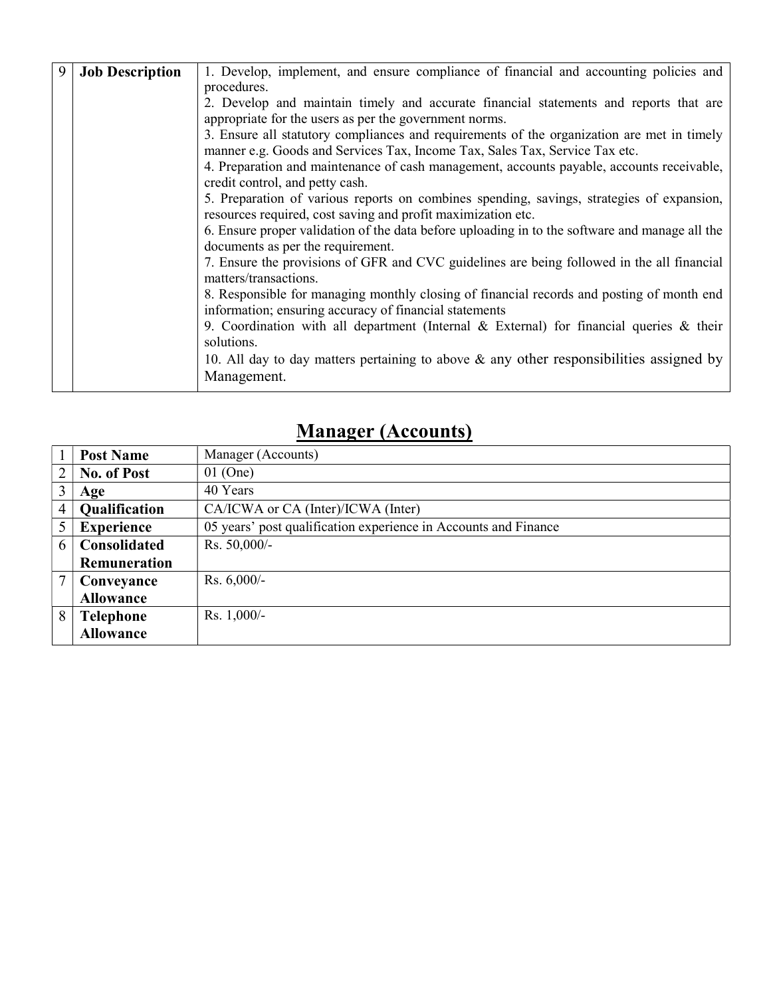| 9 | <b>Job Description</b> | 1. Develop, implement, and ensure compliance of financial and accounting policies and          |  |  |  |  |  |  |
|---|------------------------|------------------------------------------------------------------------------------------------|--|--|--|--|--|--|
|   |                        | procedures.                                                                                    |  |  |  |  |  |  |
|   |                        | 2. Develop and maintain timely and accurate financial statements and reports that are          |  |  |  |  |  |  |
|   |                        | appropriate for the users as per the government norms.                                         |  |  |  |  |  |  |
|   |                        | 3. Ensure all statutory compliances and requirements of the organization are met in timely     |  |  |  |  |  |  |
|   |                        | manner e.g. Goods and Services Tax, Income Tax, Sales Tax, Service Tax etc.                    |  |  |  |  |  |  |
|   |                        | 4. Preparation and maintenance of cash management, accounts payable, accounts receivable,      |  |  |  |  |  |  |
|   |                        | credit control, and petty cash.                                                                |  |  |  |  |  |  |
|   |                        | 5. Preparation of various reports on combines spending, savings, strategies of expansion,      |  |  |  |  |  |  |
|   |                        | resources required, cost saving and profit maximization etc.                                   |  |  |  |  |  |  |
|   |                        | 6. Ensure proper validation of the data before uploading in to the software and manage all the |  |  |  |  |  |  |
|   |                        | documents as per the requirement.                                                              |  |  |  |  |  |  |
|   |                        | 7. Ensure the provisions of GFR and CVC guidelines are being followed in the all financial     |  |  |  |  |  |  |
|   |                        | matters/transactions.                                                                          |  |  |  |  |  |  |
|   |                        | 8. Responsible for managing monthly closing of financial records and posting of month end      |  |  |  |  |  |  |
|   |                        | information; ensuring accuracy of financial statements                                         |  |  |  |  |  |  |
|   |                        | 9. Coordination with all department (Internal & External) for financial queries $\&$ their     |  |  |  |  |  |  |
|   |                        | solutions.                                                                                     |  |  |  |  |  |  |
|   |                        | 10. All day to day matters pertaining to above $\&$ any other responsibilities assigned by     |  |  |  |  |  |  |
|   |                        | Management.                                                                                    |  |  |  |  |  |  |
|   |                        |                                                                                                |  |  |  |  |  |  |

# Manager (Accounts)

|                | <b>Post Name</b>     | Manager (Accounts)                                              |
|----------------|----------------------|-----------------------------------------------------------------|
| $\overline{2}$ | <b>No. of Post</b>   | $01$ (One)                                                      |
| 3              | Age                  | 40 Years                                                        |
| $\overline{4}$ | <b>Qualification</b> | CA/ICWA or CA (Inter)/ICWA (Inter)                              |
|                | <b>Experience</b>    | 05 years' post qualification experience in Accounts and Finance |
| 6              | <b>Consolidated</b>  | Rs. 50,000/-                                                    |
|                | Remuneration         |                                                                 |
| 7              | Conveyance           | Rs. $6,000/-$                                                   |
|                | <b>Allowance</b>     |                                                                 |
| 8              | <b>Telephone</b>     | Rs. $1,000/-$                                                   |
|                | <b>Allowance</b>     |                                                                 |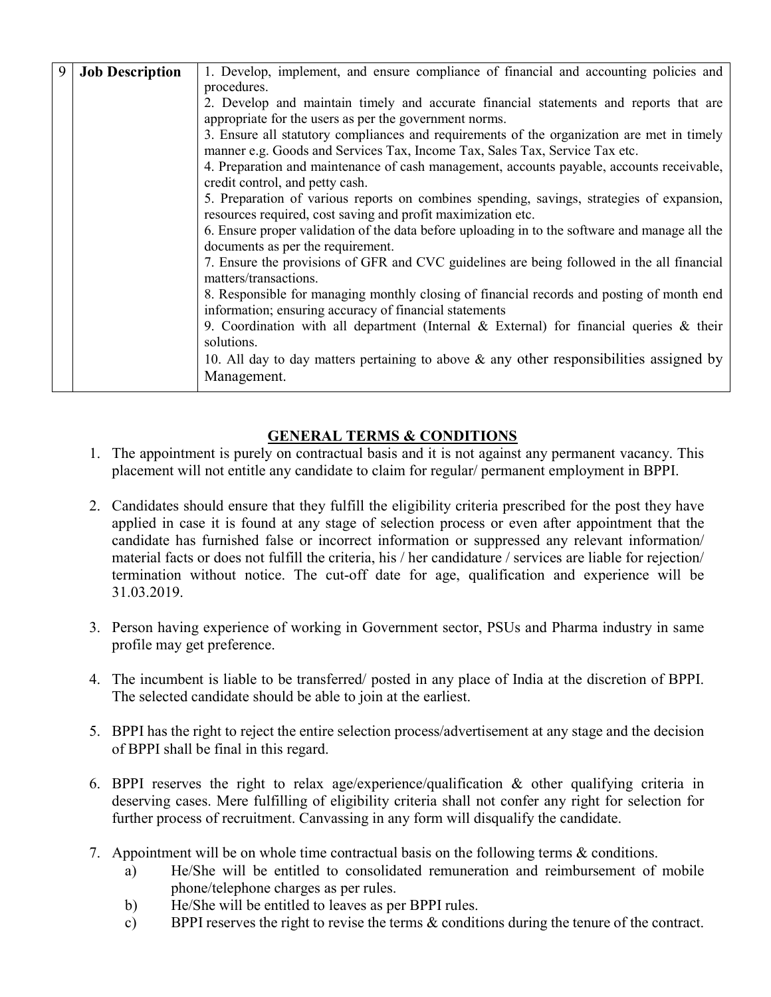| 9 | <b>Job Description</b> | 1. Develop, implement, and ensure compliance of financial and accounting policies and                                        |  |  |  |  |
|---|------------------------|------------------------------------------------------------------------------------------------------------------------------|--|--|--|--|
|   |                        | procedures.                                                                                                                  |  |  |  |  |
|   |                        | 2. Develop and maintain timely and accurate financial statements and reports that are                                        |  |  |  |  |
|   |                        | appropriate for the users as per the government norms.                                                                       |  |  |  |  |
|   |                        | 3. Ensure all statutory compliances and requirements of the organization are met in timely                                   |  |  |  |  |
|   |                        | manner e.g. Goods and Services Tax, Income Tax, Sales Tax, Service Tax etc.                                                  |  |  |  |  |
|   |                        | 4. Preparation and maintenance of cash management, accounts payable, accounts receivable,<br>credit control, and petty cash. |  |  |  |  |
|   |                        | 5. Preparation of various reports on combines spending, savings, strategies of expansion,                                    |  |  |  |  |
|   |                        | resources required, cost saving and profit maximization etc.                                                                 |  |  |  |  |
|   |                        | 6. Ensure proper validation of the data before uploading in to the software and manage all the                               |  |  |  |  |
|   |                        | documents as per the requirement.                                                                                            |  |  |  |  |
|   |                        | 7. Ensure the provisions of GFR and CVC guidelines are being followed in the all financial<br>matters/transactions.          |  |  |  |  |
|   |                        | 8. Responsible for managing monthly closing of financial records and posting of month end                                    |  |  |  |  |
|   |                        | information; ensuring accuracy of financial statements                                                                       |  |  |  |  |
|   |                        | 9. Coordination with all department (Internal & External) for financial queries & their                                      |  |  |  |  |
|   |                        | solutions.                                                                                                                   |  |  |  |  |
|   |                        | 10. All day to day matters pertaining to above $\&$ any other responsibilities assigned by                                   |  |  |  |  |
|   |                        | Management.                                                                                                                  |  |  |  |  |
|   |                        |                                                                                                                              |  |  |  |  |

### GENERAL TERMS & CONDITIONS

- 1. The appointment is purely on contractual basis and it is not against any permanent vacancy. This placement will not entitle any candidate to claim for regular/ permanent employment in BPPI.
- 2. Candidates should ensure that they fulfill the eligibility criteria prescribed for the post they have applied in case it is found at any stage of selection process or even after appointment that the candidate has furnished false or incorrect information or suppressed any relevant information/ material facts or does not fulfill the criteria, his / her candidature / services are liable for rejection/ termination without notice. The cut-off date for age, qualification and experience will be 31.03.2019.
- 3. Person having experience of working in Government sector, PSUs and Pharma industry in same profile may get preference.
- 4. The incumbent is liable to be transferred/ posted in any place of India at the discretion of BPPI. The selected candidate should be able to join at the earliest.
- 5. BPPI has the right to reject the entire selection process/advertisement at any stage and the decision of BPPI shall be final in this regard.
- 6. BPPI reserves the right to relax age/experience/qualification & other qualifying criteria in deserving cases. Mere fulfilling of eligibility criteria shall not confer any right for selection for further process of recruitment. Canvassing in any form will disqualify the candidate.
- 7. Appointment will be on whole time contractual basis on the following terms & conditions.
	- a) He/She will be entitled to consolidated remuneration and reimbursement of mobile phone/telephone charges as per rules.
	- b) He/She will be entitled to leaves as per BPPI rules.
	- c) BPPI reserves the right to revise the terms & conditions during the tenure of the contract.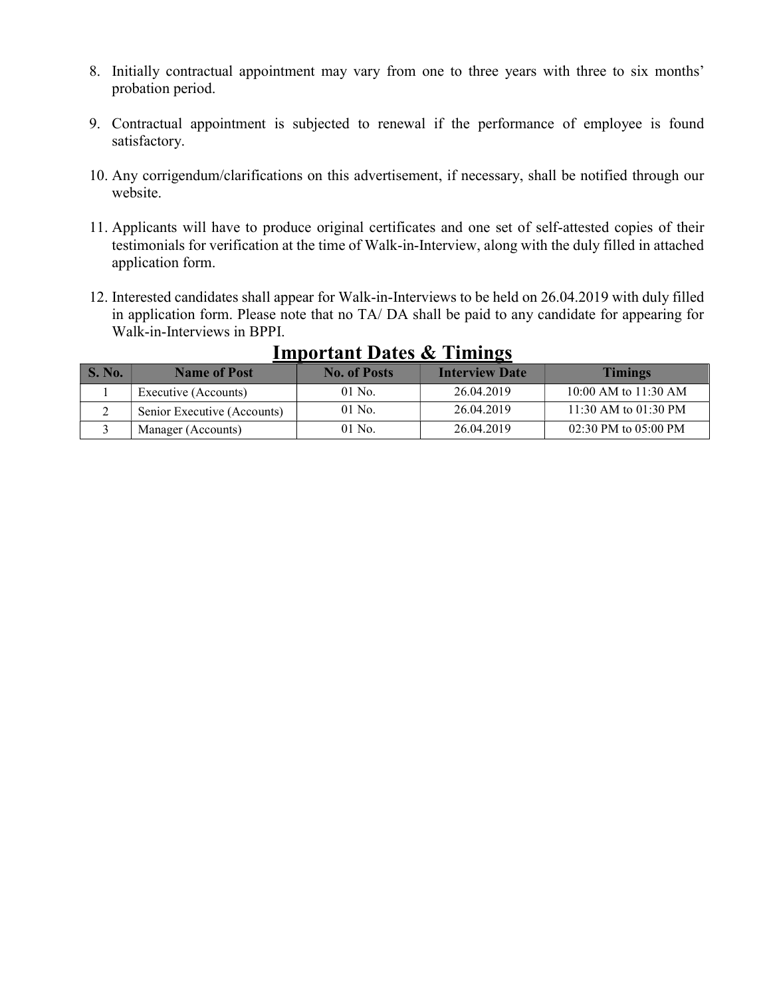- 8. Initially contractual appointment may vary from one to three years with three to six months' probation period.
- 9. Contractual appointment is subjected to renewal if the performance of employee is found satisfactory.
- 10. Any corrigendum/clarifications on this advertisement, if necessary, shall be notified through our website.
- 11. Applicants will have to produce original certificates and one set of self-attested copies of their testimonials for verification at the time of Walk-in-Interview, along with the duly filled in attached application form.
- 12. Interested candidates shall appear for Walk-in-Interviews to be held on 26.04.2019 with duly filled in application form. Please note that no TA/ DA shall be paid to any candidate for appearing for Walk-in-Interviews in BPPI.

| <b>S. No.</b> | <b>Name of Post</b>         | <b>No. of Posts</b> | <b>Interview Date</b> | <b>Timings</b>           |
|---------------|-----------------------------|---------------------|-----------------------|--------------------------|
|               | Executive (Accounts)        | $01$ No.            | 26.04.2019            | 10:00 AM to $11:30$ AM   |
|               | Senior Executive (Accounts) | $01$ No.            | 26.04.2019            | 11:30 AM to $01:30$ PM   |
|               | Manager (Accounts)          | $01$ No.            | 26.04.2019            | $02:30$ PM to $05:00$ PM |

### Important Dates & Timings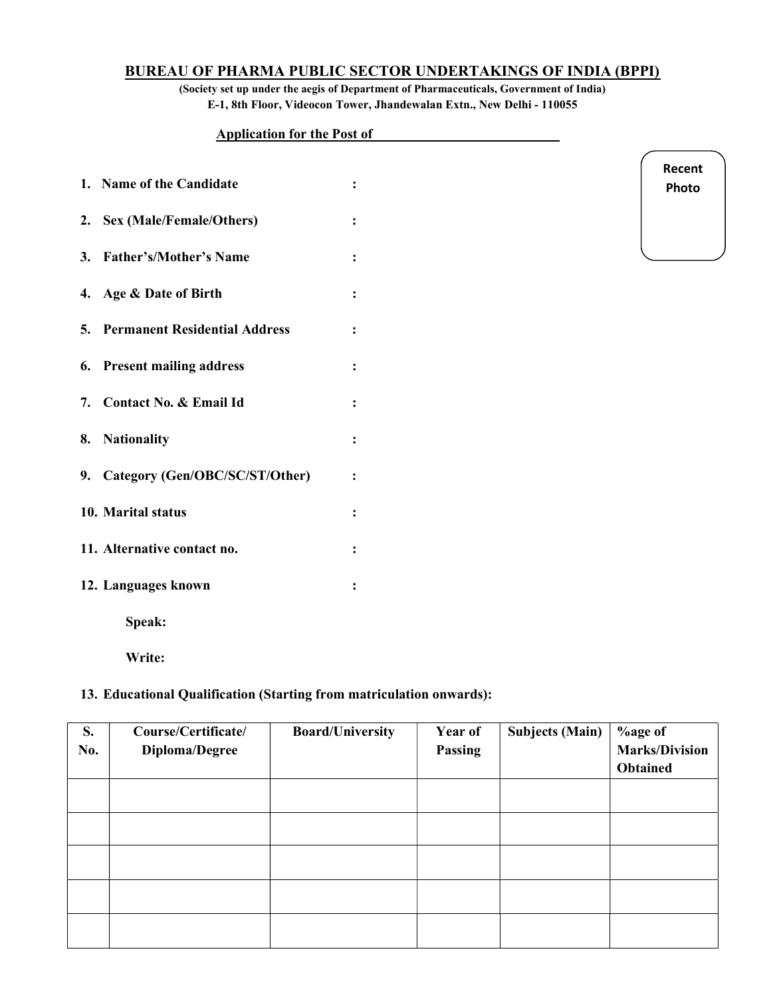### BUREAU OF PHARMA PUBLIC SECTOR UNDERTAKINGS OF INDIA (BPPI)

(Society set up under the aegis of Department of Pharmaceuticals, Government of India) E-1, 8th Floor, Videocon Tower, Jhandewalan Extn., New Delhi - 110055

> Recent Photo

#### Application for the Post of\_\_\_\_\_\_\_\_\_\_\_\_\_\_\_\_\_\_\_\_\_\_\_\_\_\_\_

| 1. Name of the Candidate                |                      |
|-----------------------------------------|----------------------|
| 2. Sex (Male/Female/Others)             |                      |
| 3. Father's/Mother's Name               |                      |
| 4. Age & Date of Birth                  |                      |
| <b>5. Permanent Residential Address</b> |                      |
| 6. Present mailing address              |                      |
| 7. Contact No. & Email Id               |                      |
| 8. Nationality                          | $\ddot{\phantom{a}}$ |
| 9. Category (Gen/OBC/SC/ST/Other)       |                      |
| 10. Marital status                      |                      |
| 11. Alternative contact no.             |                      |
| 12. Languages known                     |                      |
| Speak:                                  |                      |

Write:

### 13. Educational Qualification (Starting from matriculation onwards):

| S.<br>No. | Course/Certificate/<br>Diploma/Degree | <b>Board/University</b> | Year of<br>Passing | <b>Subjects (Main)</b> | %age of<br><b>Marks/Division</b><br><b>Obtained</b> |
|-----------|---------------------------------------|-------------------------|--------------------|------------------------|-----------------------------------------------------|
|           |                                       |                         |                    |                        |                                                     |
|           |                                       |                         |                    |                        |                                                     |
|           |                                       |                         |                    |                        |                                                     |
|           |                                       |                         |                    |                        |                                                     |
|           |                                       |                         |                    |                        |                                                     |